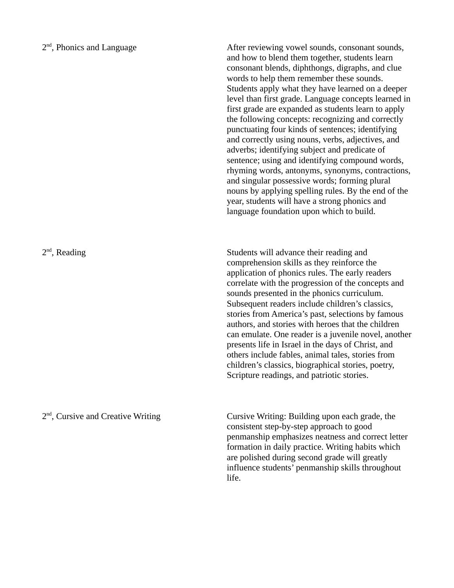## 2<sup>nd</sup>, Phonics and Language

2<sup>nd</sup>, Reading

After reviewing vowel sounds, consonant sounds, and how to blend them together, students learn consonant blends, diphthongs, digraphs, and clue words to help them remember these sounds. Students apply what they have learned on a deeper level than first grade. Language concepts learned in first grade are expanded as students learn to apply the following concepts: recognizing and correctly punctuating four kinds of sentences; identifying and correctly using nouns, verbs, adjectives, and adverbs; identifying subject and predicate of sentence; using and identifying compound words, rhyming words, antonyms, synonyms, contractions, and singular possessive words; forming plural nouns by applying spelling rules. By the end of the year, students will have a strong phonics and language foundation upon which to build.

Students will advance their reading and comprehension skills as they reinforce the application of phonics rules. The early readers correlate with the progression of the concepts and sounds presented in the phonics curriculum. Subsequent readers include children's classics, stories from America's past, selections by famous authors, and stories with heroes that the children can emulate. One reader is a juvenile novel, another presents life in Israel in the days of Christ, and others include fables, animal tales, stories from children's classics, biographical stories, poetry, Scripture readings, and patriotic stories.

2<sup>nd</sup>, Cursive and Creative Writing

Cursive Writing: Building upon each grade, the consistent step-by-step approach to good penmanship emphasizes neatness and correct letter formation in daily practice. Writing habits which are polished during second grade will greatly influence students' penmanship skills throughout life.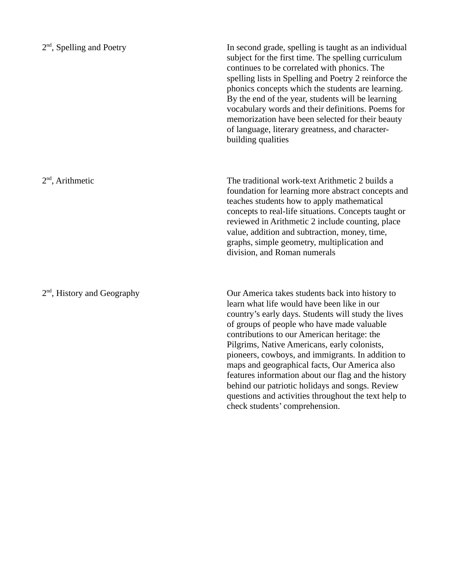| $2nd$ , Spelling and Poetry             | In second grade, spelling is taught as an individual<br>subject for the first time. The spelling curriculum<br>continues to be correlated with phonics. The<br>spelling lists in Spelling and Poetry 2 reinforce the<br>phonics concepts which the students are learning.<br>By the end of the year, students will be learning<br>vocabulary words and their definitions. Poems for<br>memorization have been selected for their beauty<br>of language, literary greatness, and character-<br>building qualities                                                                                             |
|-----------------------------------------|--------------------------------------------------------------------------------------------------------------------------------------------------------------------------------------------------------------------------------------------------------------------------------------------------------------------------------------------------------------------------------------------------------------------------------------------------------------------------------------------------------------------------------------------------------------------------------------------------------------|
| $2nd$ , Arithmetic                      | The traditional work-text Arithmetic 2 builds a<br>foundation for learning more abstract concepts and<br>teaches students how to apply mathematical<br>concepts to real-life situations. Concepts taught or<br>reviewed in Arithmetic 2 include counting, place<br>value, addition and subtraction, money, time,<br>graphs, simple geometry, multiplication and<br>division, and Roman numerals                                                                                                                                                                                                              |
| 2 <sup>nd</sup> , History and Geography | Our America takes students back into history to<br>learn what life would have been like in our<br>country's early days. Students will study the lives<br>of groups of people who have made valuable<br>contributions to our American heritage: the<br>Pilgrims, Native Americans, early colonists,<br>pioneers, cowboys, and immigrants. In addition to<br>maps and geographical facts, Our America also<br>features information about our flag and the history<br>behind our patriotic holidays and songs. Review<br>questions and activities throughout the text help to<br>check students' comprehension. |